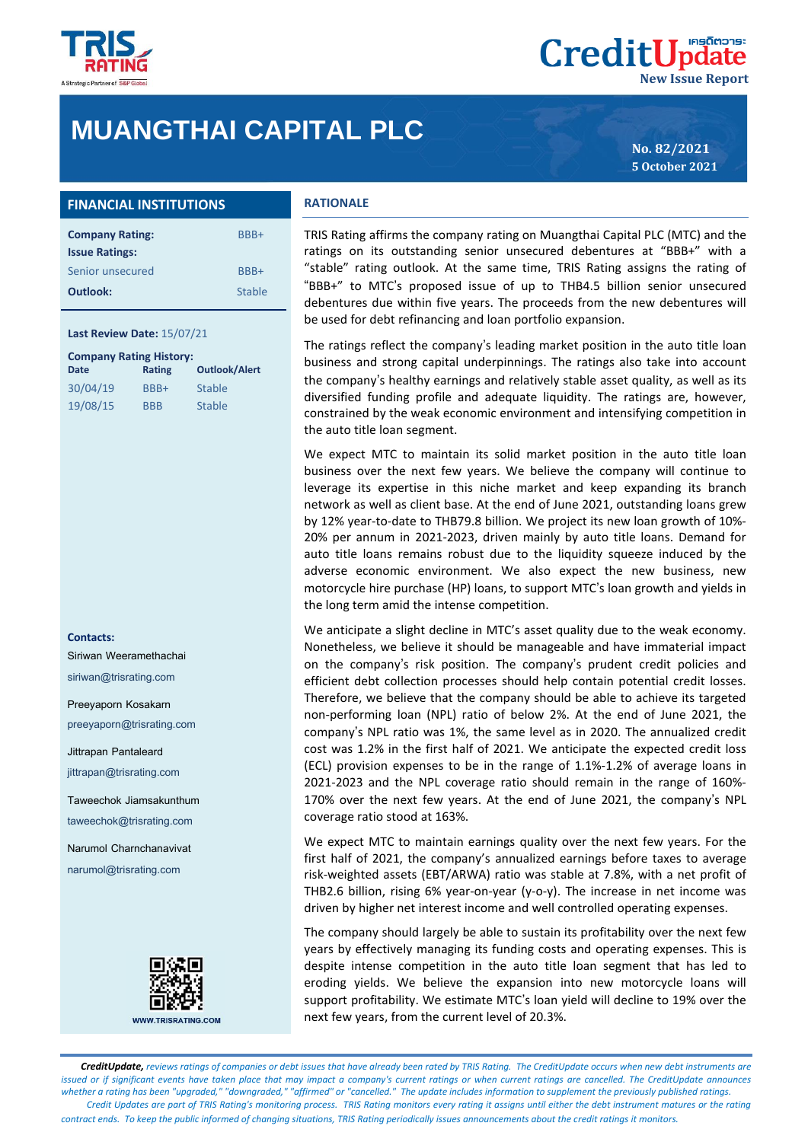

# **MUANGTHAI CAPITAL PLC**

**No. 82/2021 5 October 2021**

**New Issue Report**

**CreditUpdate** 

## **FINANCIAL INSTITUTIONS**

| <b>Company Rating:</b> | BBB+   |
|------------------------|--------|
| <b>Issue Ratings:</b>  |        |
| Senior unsecured       | BBB+   |
| Outlook:               | Stable |

#### **Last Review Date:** 15/07/21

| <b>Company Rating History:</b> |            |                      |  |
|--------------------------------|------------|----------------------|--|
| <b>Date</b>                    | Rating     | <b>Outlook/Alert</b> |  |
| 30/04/19                       | BBB+       | <b>Stable</b>        |  |
| 19/08/15                       | <b>BBB</b> | <b>Stable</b>        |  |

#### **Contacts:**

Siriwan Weeramethachai siriwan@trisrating.com

Preeyaporn Kosakarn preeyaporn@trisrating.com

Jittrapan Pantaleard

jittrapan@trisrating.com

Taweechok Jiamsakunthum taweechok@trisrating.com

Narumol Charnchanavivat narumol@trisrating.com



#### **RATIONALE**

TRIS Rating affirms the company rating on Muangthai Capital PLC (MTC) and the ratings on its outstanding senior unsecured debentures at "BBB+" with a "stable" rating outlook. At the same time, TRIS Rating assigns the rating of "BBB+" to MTC's proposed issue of up to THB4.5 billion senior unsecured debentures due within five years. The proceeds from the new debentures will be used for debt refinancing and loan portfolio expansion.

The ratings reflect the company's leading market position in the auto title loan business and strong capital underpinnings. The ratings also take into account the company's healthy earnings and relatively stable asset quality, as well as its diversified funding profile and adequate liquidity. The ratings are, however, constrained by the weak economic environment and intensifying competition in the auto title loan segment.

We expect MTC to maintain its solid market position in the auto title loan business over the next few years. We believe the company will continue to leverage its expertise in this niche market and keep expanding its branch network as well as client base. At the end of June 2021, outstanding loans grew by 12% year-to-date to THB79.8 billion. We project its new loan growth of 10%- 20% per annum in 2021-2023, driven mainly by auto title loans. Demand for auto title loans remains robust due to the liquidity squeeze induced by the adverse economic environment. We also expect the new business, new motorcycle hire purchase (HP) loans, to support MTC's loan growth and yields in the long term amid the intense competition.

We anticipate a slight decline in MTC's asset quality due to the weak economy. Nonetheless, we believe it should be manageable and have immaterial impact on the company's risk position. The company's prudent credit policies and efficient debt collection processes should help contain potential credit losses. Therefore, we believe that the company should be able to achieve its targeted non-performing loan (NPL) ratio of below 2%. At the end of June 2021, the company's NPL ratio was 1%, the same level as in 2020. The annualized credit cost was 1.2% in the first half of 2021. We anticipate the expected credit loss (ECL) provision expenses to be in the range of 1.1%-1.2% of average loans in 2021-2023 and the NPL coverage ratio should remain in the range of 160%- 170% over the next few years. At the end of June 2021, the company's NPL coverage ratio stood at 163%.

We expect MTC to maintain earnings quality over the next few years. For the first half of 2021, the company's annualized earnings before taxes to average risk-weighted assets (EBT/ARWA) ratio was stable at 7.8%, with a net profit of THB2.6 billion, rising 6% year-on-year (y-o-y). The increase in net income was driven by higher net interest income and well controlled operating expenses.

The company should largely be able to sustain its profitability over the next few years by effectively managing its funding costs and operating expenses. This is despite intense competition in the auto title loan segment that has led to eroding yields. We believe the expansion into new motorcycle loans will support profitability. We estimate MTC's loan yield will decline to 19% over the next few years, from the current level of 20.3%.

 *CreditUpdate, reviews ratings of companies or debt issues that have already been rated by TRIS Rating. The CreditUpdate occurs when new debt instruments are issued or if significant events have taken place that may impact a company's current ratings or when current ratings are cancelled. The CreditUpdate announces whether a rating has been "upgraded," "downgraded," "affirmed" or "cancelled." The update includes information to supplement the previously published ratings. Credit Updates are part of TRIS Rating's monitoring process. TRIS Rating monitors every rating it assigns until either the debt instrument matures or the rating contract ends. To keep the public informed of changing situations, TRIS Rating periodically issues announcements about the credit ratings it monitors.*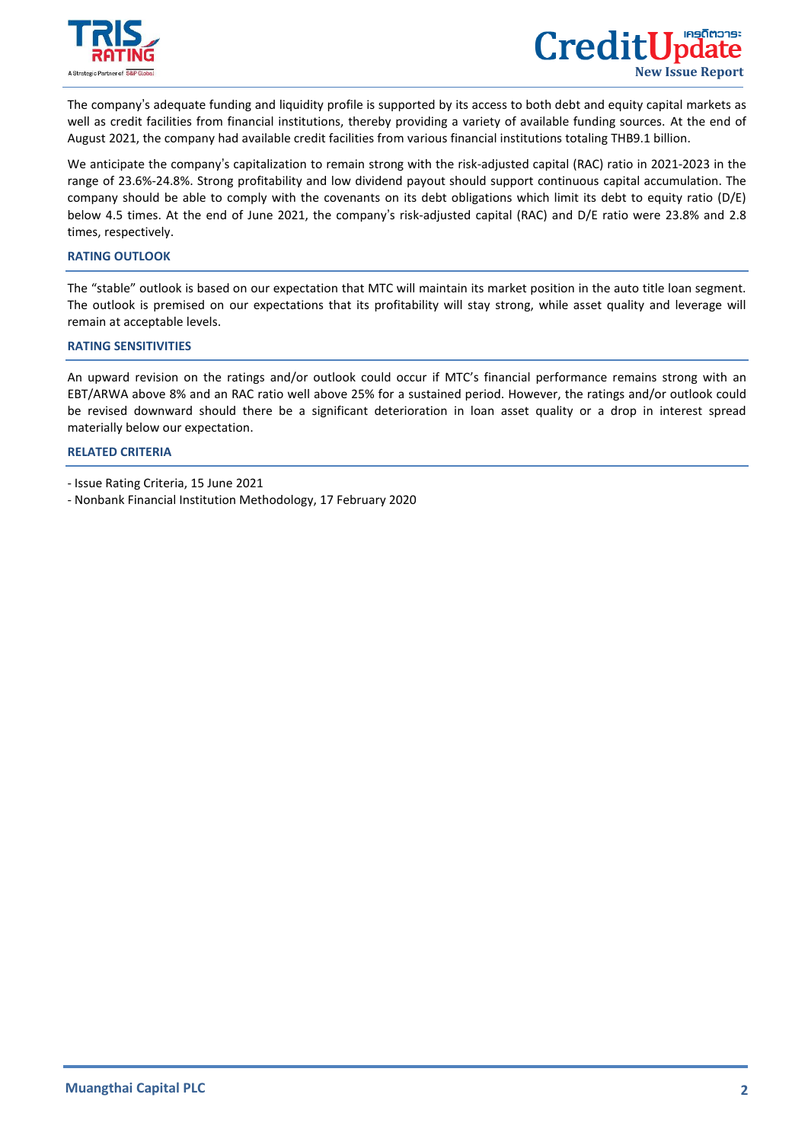

 $\overline{a}$ 

The company's adequate funding and liquidity profile is supported by its access to both debt and equity capital markets as well as credit facilities from financial institutions, thereby providing a variety of available funding sources. At the end of August 2021, the company had available credit facilities from various financial institutions totaling THB9.1 billion.

We anticipate the company's capitalization to remain strong with the risk-adjusted capital (RAC) ratio in 2021-2023 in the range of 23.6%-24.8%. Strong profitability and low dividend payout should support continuous capital accumulation. The company should be able to comply with the covenants on its debt obligations which limit its debt to equity ratio (D/E) below 4.5 times. At the end of June 2021, the company's risk-adjusted capital (RAC) and D/E ratio were 23.8% and 2.8 times, respectively.

#### **RATING OUTLOOK**

The "stable" outlook is based on our expectation that MTC will maintain its market position in the auto title loan segment. The outlook is premised on our expectations that its profitability will stay strong, while asset quality and leverage will remain at acceptable levels.

### **RATING SENSITIVITIES**

An upward revision on the ratings and/or outlook could occur if MTC's financial performance remains strong with an EBT/ARWA above 8% and an RAC ratio well above 25% for a sustained period. However, the ratings and/or outlook could be revised downward should there be a significant deterioration in loan asset quality or a drop in interest spread materially below our expectation.

### **[RELATED CRITERIA](https://www.trisrating.com/rating-information/rating-criteria/)**

- Nonbank Financial Institution Methodology, 17 February 2020

<sup>-</sup> Issue Rating Criteria, 15 June 2021